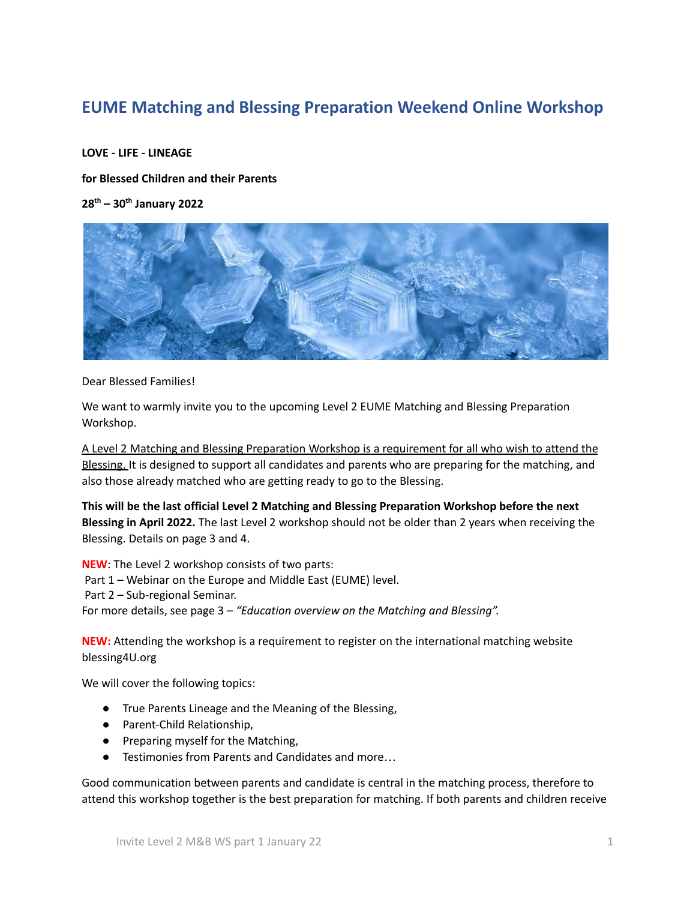# **EUME Matching and Blessing Preparation Weekend Online Workshop**

### **LOVE - LIFE - LINEAGE**

**for Blessed Children and their Parents**

**28th – 30th January 2022**



Dear Blessed Families!

We want to warmly invite you to the upcoming Level 2 EUME Matching and Blessing Preparation Workshop.

A Level 2 Matching and Blessing Preparation Workshop is a requirement for all who wish to attend the Blessing. It is designed to support all candidates and parents who are preparing for the matching, and also those already matched who are getting ready to go to the Blessing.

**This will be the last official Level 2 Matching and Blessing Preparation Workshop before the next Blessing in April 2022.** The last Level 2 workshop should not be older than 2 years when receiving the Blessing. Details on page 3 and 4.

**NEW**: The Level 2 workshop consists of two parts: Part 1 – Webinar on the Europe and Middle East (EUME) level. Part 2 – Sub-regional Seminar. For more details, see page 3 – *"Education overview on the Matching and Blessing".*

**NEW:** Attending the workshop is a requirement to register on the international matching website blessing4U.org

We will cover the following topics:

- True Parents Lineage and the Meaning of the Blessing,
- Parent-Child Relationship,
- Preparing myself for the Matching,
- Testimonies from Parents and Candidates and more…

Good communication between parents and candidate is central in the matching process, therefore to attend this workshop together is the best preparation for matching. If both parents and children receive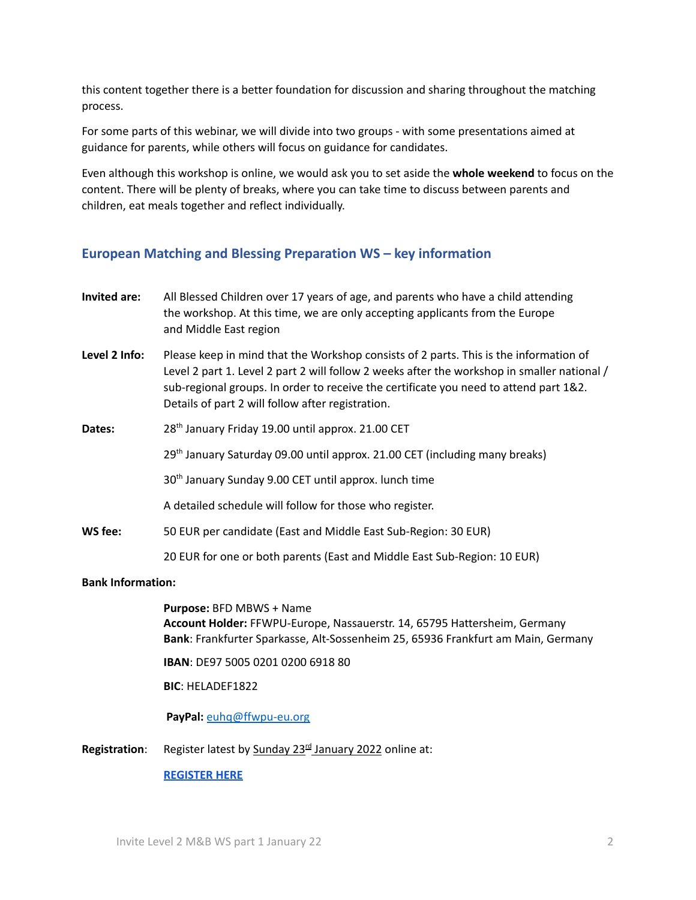this content together there is a better foundation for discussion and sharing throughout the matching process.

For some parts of this webinar, we will divide into two groups - with some presentations aimed at guidance for parents, while others will focus on guidance for candidates.

Even although this workshop is online, we would ask you to set aside the **whole weekend** to focus on the content. There will be plenty of breaks, where you can take time to discuss between parents and children, eat meals together and reflect individually.

# **European Matching and Blessing Preparation WS – key information**

| Invited are:  | All Blessed Children over 17 years of age, and parents who have a child attending<br>the workshop. At this time, we are only accepting applicants from the Europe<br>and Middle East region                                                                                                                                        |
|---------------|------------------------------------------------------------------------------------------------------------------------------------------------------------------------------------------------------------------------------------------------------------------------------------------------------------------------------------|
| Level 2 Info: | Please keep in mind that the Workshop consists of 2 parts. This is the information of<br>Level 2 part 1. Level 2 part 2 will follow 2 weeks after the workshop in smaller national /<br>sub-regional groups. In order to receive the certificate you need to attend part 1&2.<br>Details of part 2 will follow after registration. |
| Dates:        | 28 <sup>th</sup> January Friday 19.00 until approx. 21.00 CET                                                                                                                                                                                                                                                                      |
|               | 29 <sup>th</sup> January Saturday 09.00 until approx. 21.00 CET (including many breaks)                                                                                                                                                                                                                                            |
|               | 30 <sup>th</sup> January Sunday 9.00 CET until approx. lunch time                                                                                                                                                                                                                                                                  |
|               | A detailed schedule will follow for those who register.                                                                                                                                                                                                                                                                            |
| WS fee:       | 50 EUR per candidate (East and Middle East Sub-Region: 30 EUR)                                                                                                                                                                                                                                                                     |
|               | 20 EUR for one or both parents (East and Middle East Sub-Region: 10 EUR)                                                                                                                                                                                                                                                           |

#### **Bank Information:**

**Purpose:** BFD MBWS + Name **Account Holder:** FFWPU-Europe, Nassauerstr. 14, 65795 Hattersheim, Germany **Bank**: Frankfurter Sparkasse, Alt-Sossenheim 25, 65936 Frankfurt am Main, Germany

**IBAN**: DE97 5005 0201 0200 6918 80

**BIC**: HELADEF1822

**PayPal:** euhq@ffwpu-eu.org

Registration: Register latest by Sunday 23<sup>rd</sup> January 2022 online at:

#### **REGISTER HERE**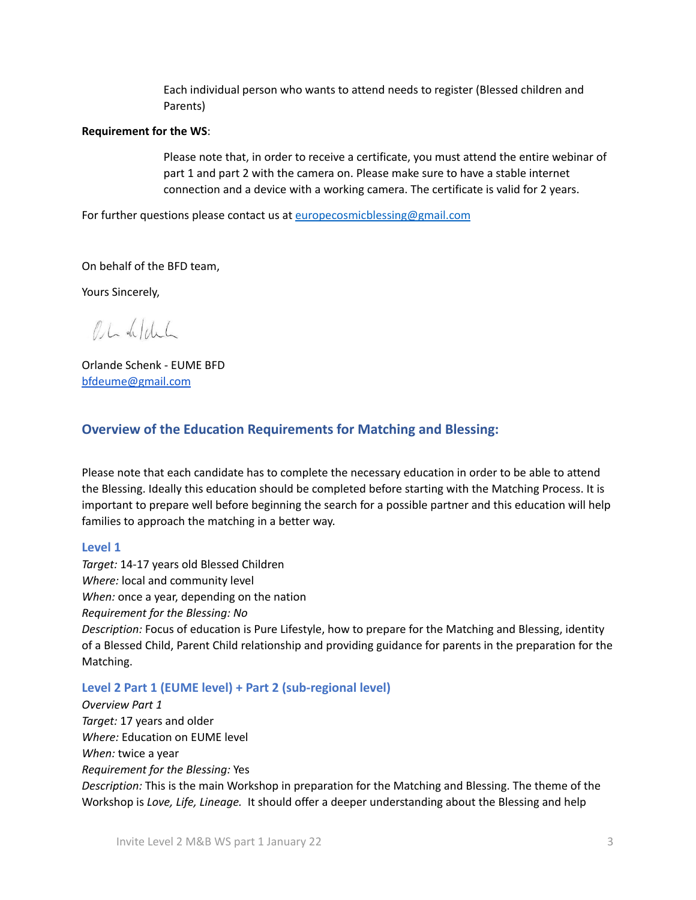Each individual person who wants to attend needs to register (Blessed children and Parents)

#### **Requirement for the WS**:

Please note that, in order to receive a certificate, you must attend the entire webinar of part 1 and part 2 with the camera on. Please make sure to have a stable internet connection and a device with a working camera. The certificate is valid for 2 years.

For further questions please contact us at europecosmicblessing@gmail.com

On behalf of the BFD team,

Yours Sincerely,

OL defelich

Orlande Schenk - EUME BFD bfdeume@gmail.com

### **Overview of the Education Requirements for Matching and Blessing:**

Please note that each candidate has to complete the necessary education in order to be able to attend the Blessing. Ideally this education should be completed before starting with the Matching Process. It is important to prepare well before beginning the search for a possible partner and this education will help families to approach the matching in a better way.

#### **Level 1**

*Target:* 14-17 years old Blessed Children *Where:* local and community level *When:* once a year, depending on the nation *Requirement for the Blessing: No Description:* Focus of education is Pure Lifestyle, how to prepare for the Matching and Blessing, identity of a Blessed Child, Parent Child relationship and providing guidance for parents in the preparation for the Matching.

#### **Level 2 Part 1 (EUME level) + Part 2 (sub-regional level)**

*Overview Part 1 Target:* 17 years and older *Where:* Education on EUME level *When:* twice a year *Requirement for the Blessing:* Yes *Description:* This is the main Workshop in preparation for the Matching and Blessing. The theme of the Workshop is *Love, Life, Lineage.* It should offer a deeper understanding about the Blessing and help